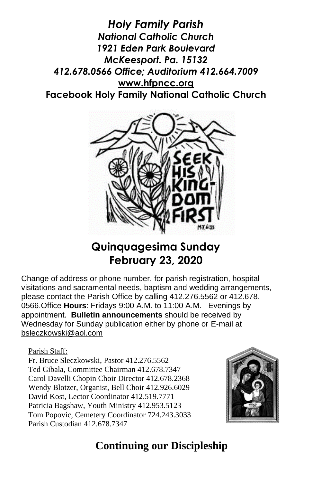*Holy Family Parish National Catholic Church 1921 Eden Park Boulevard McKeesport. Pa. 15132 412.678.0566 Office; Auditorium 412.664.7009* **[www.hfpncc.org](http://www.hfpncc.org/) Facebook Holy Family National Catholic Church**



# **Quinquagesima Sunday February 23, 2020**

Change of address or phone number, for parish registration, hospital visitations and sacramental needs, baptism and wedding arrangements, please contact the Parish Office by calling 412.276.5562 or 412.678. 0566.Office **Hours**: Fridays 9:00 A.M. to 11:00 A.M. Evenings by appointment. **Bulletin announcements** should be received by Wednesday for Sunday publication either by phone or E-mail at [bsleczkowski@aol.com](mailto:bsleczkowski@aol.com)

Parish Staff:

Fr. Bruce Sleczkowski, Pastor 412.276.5562 Ted Gibala, Committee Chairman 412.678.7347 Carol Davelli Chopin Choir Director 412.678.2368 Wendy Blotzer, Organist, Bell Choir 412.926.6029 David Kost, Lector Coordinator 412.519.7771 Patricia Bagshaw, Youth Ministry 412.953.5123 Tom Popovic, Cemetery Coordinator 724.243.3033 Parish Custodian 412.678.7347



## **Continuing our Discipleship**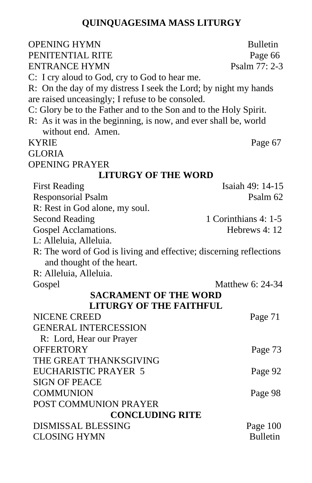# **QUINQUAGESIMA MASS LITURGY**

| <b>OPENING HYMN</b>                                                | <b>Bulletin</b>             |  |  |  |  |  |  |  |
|--------------------------------------------------------------------|-----------------------------|--|--|--|--|--|--|--|
| PENITENTIAL RITE                                                   | Page 66                     |  |  |  |  |  |  |  |
| <b>ENTRANCE HYMN</b>                                               | Psalm 77: 2-3               |  |  |  |  |  |  |  |
| C: I cry aloud to God, cry to God to hear me.                      |                             |  |  |  |  |  |  |  |
| R: On the day of my distress I seek the Lord; by night my hands    |                             |  |  |  |  |  |  |  |
| are raised unceasingly; I refuse to be consoled.                   |                             |  |  |  |  |  |  |  |
| C: Glory be to the Father and to the Son and to the Holy Spirit.   |                             |  |  |  |  |  |  |  |
| R: As it was in the beginning, is now, and ever shall be, world    |                             |  |  |  |  |  |  |  |
| without end. Amen.                                                 |                             |  |  |  |  |  |  |  |
| <b>KYRIE</b>                                                       | Page 67                     |  |  |  |  |  |  |  |
| <b>GLORIA</b>                                                      |                             |  |  |  |  |  |  |  |
| <b>OPENING PRAYER</b>                                              |                             |  |  |  |  |  |  |  |
| <b>LITURGY OF THE WORD</b>                                         |                             |  |  |  |  |  |  |  |
| <b>First Reading</b>                                               | Isaiah 49: 14-15            |  |  |  |  |  |  |  |
| <b>Responsorial Psalm</b>                                          | Psalm 62                    |  |  |  |  |  |  |  |
| R: Rest in God alone, my soul.                                     |                             |  |  |  |  |  |  |  |
| <b>Second Reading</b>                                              | 1 Corinthians 4: 1-5        |  |  |  |  |  |  |  |
| Gospel Acclamations.                                               | Hebrews 4: 12               |  |  |  |  |  |  |  |
| L: Alleluia, Alleluia.                                             |                             |  |  |  |  |  |  |  |
| R: The word of God is living and effective; discerning reflections |                             |  |  |  |  |  |  |  |
| and thought of the heart.                                          |                             |  |  |  |  |  |  |  |
| R: Alleluia, Alleluia.                                             |                             |  |  |  |  |  |  |  |
| Gospel                                                             | Matthew 6: 24-34            |  |  |  |  |  |  |  |
| <b>SACRAMENT OF THE WORD</b>                                       |                             |  |  |  |  |  |  |  |
| <b>LITURGY OF THE FAITHFUL</b>                                     |                             |  |  |  |  |  |  |  |
| <b>NICENE CREED</b>                                                | Page 71                     |  |  |  |  |  |  |  |
| <b>GENERAL INTERCESSION</b>                                        |                             |  |  |  |  |  |  |  |
| R: Lord, Hear our Prayer                                           |                             |  |  |  |  |  |  |  |
| <b>OFFERTORY</b>                                                   | Page 73                     |  |  |  |  |  |  |  |
| THE GREAT THANKSGIVING                                             |                             |  |  |  |  |  |  |  |
| EUCHARISTIC PRAYER 5                                               | Page 92                     |  |  |  |  |  |  |  |
| <b>SIGN OF PEACE</b>                                               |                             |  |  |  |  |  |  |  |
| <b>COMMUNION</b>                                                   | Page 98                     |  |  |  |  |  |  |  |
| POST COMMUNION PRAYER                                              |                             |  |  |  |  |  |  |  |
| <b>CONCLUDING RITE</b><br><b>DISMISSAL BLESSING</b>                |                             |  |  |  |  |  |  |  |
|                                                                    | Page 100<br><b>Bulletin</b> |  |  |  |  |  |  |  |
| <b>CLOSING HYMN</b>                                                |                             |  |  |  |  |  |  |  |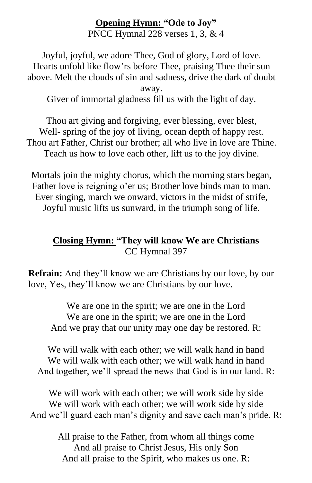### **Opening Hymn: "Ode to Joy"**

PNCC Hymnal 228 verses 1, 3, & 4

Joyful, joyful, we adore Thee, God of glory, Lord of love. Hearts unfold like flow'rs before Thee, praising Thee their sun above. Melt the clouds of sin and sadness, drive the dark of doubt away.

Giver of immortal gladness fill us with the light of day.

Thou art giving and forgiving, ever blessing, ever blest, Well- spring of the joy of living, ocean depth of happy rest. Thou art Father, Christ our brother; all who live in love are Thine. Teach us how to love each other, lift us to the joy divine.

Mortals join the mighty chorus, which the morning stars began, Father love is reigning o'er us; Brother love binds man to man. Ever singing, march we onward, victors in the midst of strife, Joyful music lifts us sunward, in the triumph song of life.

### **Closing Hymn: "They will know We are Christians** CC Hymnal 397

**Refrain:** And they'll know we are Christians by our love, by our love, Yes, they'll know we are Christians by our love.

We are one in the spirit; we are one in the Lord We are one in the spirit; we are one in the Lord And we pray that our unity may one day be restored. R:

We will walk with each other; we will walk hand in hand We will walk with each other; we will walk hand in hand And together, we'll spread the news that God is in our land. R:

We will work with each other; we will work side by side We will work with each other; we will work side by side And we'll guard each man's dignity and save each man's pride. R:

> All praise to the Father, from whom all things come And all praise to Christ Jesus, His only Son And all praise to the Spirit, who makes us one. R: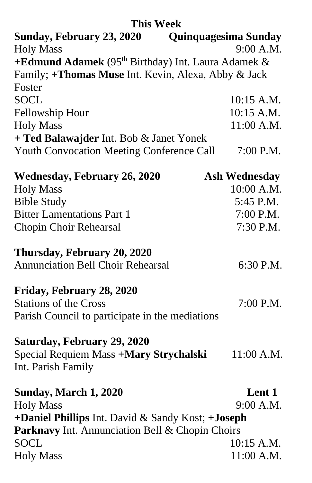# **This Week**

| Sunday, February 23, 2020                                      | Quinquagesima Sunday |  |  |  |  |  |
|----------------------------------------------------------------|----------------------|--|--|--|--|--|
| <b>Holy Mass</b>                                               | 9:00 A.M.            |  |  |  |  |  |
| +Edmund Adamek (95 <sup>th</sup> Birthday) Int. Laura Adamek & |                      |  |  |  |  |  |
| Family; +Thomas Muse Int. Kevin, Alexa, Abby & Jack            |                      |  |  |  |  |  |
| Foster                                                         |                      |  |  |  |  |  |
| <b>SOCL</b>                                                    | $10:15$ A.M.         |  |  |  |  |  |
| Fellowship Hour                                                | $10:15$ A.M.         |  |  |  |  |  |
| <b>Holy Mass</b>                                               | $11:00$ A.M.         |  |  |  |  |  |
| + Ted Balawajder Int. Bob & Janet Yonek                        |                      |  |  |  |  |  |
| <b>Youth Convocation Meeting Conference Call</b>               | 7:00 P.M.            |  |  |  |  |  |
| <b>Wednesday, February 26, 2020</b>                            | <b>Ash Wednesday</b> |  |  |  |  |  |
| <b>Holy Mass</b>                                               | 10:00 A.M.           |  |  |  |  |  |
| <b>Bible Study</b>                                             | 5:45 P.M.            |  |  |  |  |  |
| <b>Bitter Lamentations Part 1</b>                              | 7:00 P.M.            |  |  |  |  |  |
| <b>Chopin Choir Rehearsal</b>                                  | 7:30 P.M.            |  |  |  |  |  |
| Thursday, February 20, 2020                                    |                      |  |  |  |  |  |
| <b>Annunciation Bell Choir Rehearsal</b>                       | 6:30 P.M.            |  |  |  |  |  |
| Friday, February 28, 2020                                      |                      |  |  |  |  |  |
| <b>Stations of the Cross</b>                                   | 7:00 P.M.            |  |  |  |  |  |
| Parish Council to participate in the mediations                |                      |  |  |  |  |  |
| Saturday, February 29, 2020                                    |                      |  |  |  |  |  |
| Special Requiem Mass +Mary Strychalski                         | 11:00 A.M.           |  |  |  |  |  |
| Int. Parish Family                                             |                      |  |  |  |  |  |
| Sunday, March 1, 2020                                          | Lent 1               |  |  |  |  |  |
| <b>Holy Mass</b>                                               | 9:00 A.M.            |  |  |  |  |  |
| +Daniel Phillips Int. David & Sandy Kost; +Joseph              |                      |  |  |  |  |  |
| <b>Parknavy</b> Int. Annunciation Bell & Chopin Choirs         |                      |  |  |  |  |  |
| SOCL                                                           | 10:15 A.M.           |  |  |  |  |  |
| <b>Holy Mass</b>                                               | 11:00 A.M.           |  |  |  |  |  |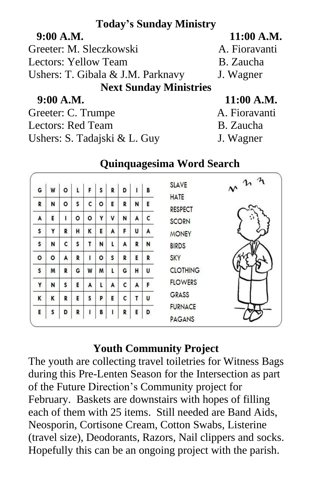### **Today's Sunday Ministry**

### **9:00 A.M. 11:00 A.M.**

Greeter: M. Sleczkowski A. Fioravanti Lectors: Yellow Team B. Zaucha Ushers: T. Gibala & J.M. Parknavy J. Wagner

**Next Sunday Ministries**

**9:00 A.M. 11:00 A.M.**

Greeter: C. Trumpe A. Fioravanti Lectors: Red Team B. Zaucha Ushers: S. Tadajski & L. Guy J. Wagner

| G       | W       | $\circ$ |         | F | S       | R | D |   | B | <b>SLAVE</b>                    | $\sim$ h h |
|---------|---------|---------|---------|---|---------|---|---|---|---|---------------------------------|------------|
| R       | N       | $\circ$ | S       | C | $\circ$ | E | R | N | E | <b>HATE</b><br><b>RESPECT</b>   |            |
| A       | E       | ı       | $\circ$ | o | Y       | V | N | A | c | <b>SCORN</b>                    | ۰,         |
| s       | γ       | R       | Η       | K | E       | A | F | U | A | <b>MONEY</b>                    |            |
| S       | N       | C       | S       | т | N       | L | A | R | N | <b>BIRDS</b>                    |            |
| $\circ$ | $\circ$ | A       | R       |   | $\circ$ | S | R | E | R | <b>SKY</b>                      |            |
| S       | M       | R       | G       | W | M       | L | G | H | U | <b>CLOTHING</b>                 |            |
| Y       | N       | S       | E       | A | L       | A | c | A | F | <b>FLOWERS</b>                  |            |
| K       | K       | R       | E       | S | P       | E | C | т | U | <b>GRASS</b>                    |            |
| E       | S       | D       | R       |   | B       |   | R | E | D | <b>FURNACE</b><br><b>PAGANS</b> |            |

### **Quinquagesima Word Search**

### **Youth Community Project**

The youth are collecting travel toiletries for Witness Bags during this Pre-Lenten Season for the Intersection as part of the Future Direction's Community project for February. Baskets are downstairs with hopes of filling each of them with 25 items. Still needed are Band Aids, Neosporin, Cortisone Cream, Cotton Swabs, Listerine (travel size), Deodorants, Razors, Nail clippers and socks. Hopefully this can be an ongoing project with the parish.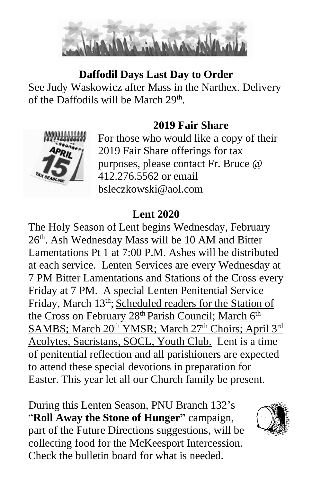

**Daffodil Days Last Day to Order**

See Judy Waskowicz after Mass in the Narthex. Delivery of the Daffodils will be March 29<sup>th</sup>.



### **2019 Fair Share**

For those who would like a copy of their 2019 Fair Share offerings for tax purposes, please contact Fr. Bruce @ 412.276.5562 or email bsleczkowski@aol.com

## **Lent 2020**

The Holy Season of Lent begins Wednesday, February 26<sup>th</sup>. Ash Wednesday Mass will be 10 AM and Bitter Lamentations Pt 1 at 7:00 P.M. Ashes will be distributed at each service. Lenten Services are every Wednesday at 7 PM Bitter Lamentations and Stations of the Cross every Friday at 7 PM. A special Lenten Penitential Service Friday, March 13<sup>th</sup>; Scheduled readers for the Station of the Cross on February 28<sup>th</sup> Parish Council; March 6<sup>th</sup> SAMBS; March 20<sup>th</sup> YMSR; March 27<sup>th</sup> Choirs; April 3<sup>rd</sup> Acolytes, Sacristans, SOCL, Youth Club. Lent is a time of penitential reflection and all parishioners are expected to attend these special devotions in preparation for Easter. This year let all our Church family be present.

During this Lenten Season, PNU Branch 132's "**Roll Away the Stone of Hunger"** campaign, part of the Future Directions suggestions, will be collecting food for the McKeesport Intercession. Check the bulletin board for what is needed.

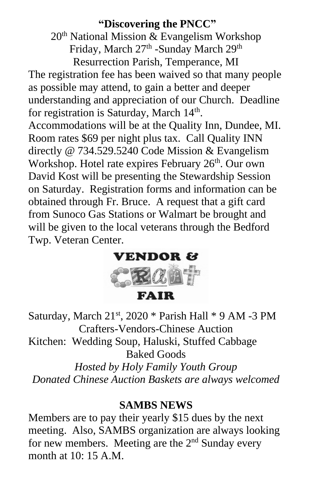## **"Discovering the PNCC"**

 $20<sup>th</sup>$  National Mission & Evangelism Workshop Friday, March 27<sup>th</sup> -Sunday March 29<sup>th</sup> Resurrection Parish, Temperance, MI The registration fee has been waived so that many people as possible may attend, to gain a better and deeper understanding and appreciation of our Church. Deadline for registration is Saturday, March 14<sup>th</sup>. Accommodations will be at the Quality Inn, Dundee, MI. Room rates \$69 per night plus tax. Call Quality INN directly @ 734.529.5240 Code Mission & Evangelism Workshop. Hotel rate expires February 26<sup>th</sup>. Our own David Kost will be presenting the Stewardship Session on Saturday. Registration forms and information can be obtained through Fr. Bruce. A request that a gift card from Sunoco Gas Stations or Walmart be brought and will be given to the local veterans through the Bedford Twp. Veteran Center.



Saturday, March  $21<sup>st</sup>$ ,  $2020 *$  Parish Hall  $*$  9 AM -3 PM Crafters-Vendors-Chinese Auction Kitchen: Wedding Soup, Haluski, Stuffed Cabbage Baked Goods *Hosted by Holy Family Youth Group Donated Chinese Auction Baskets are always welcomed*

# **SAMBS NEWS**

Members are to pay their yearly \$15 dues by the next meeting. Also, SAMBS organization are always looking for new members. Meeting are the  $2<sup>nd</sup>$  Sunday every month at 10: 15 A.M.